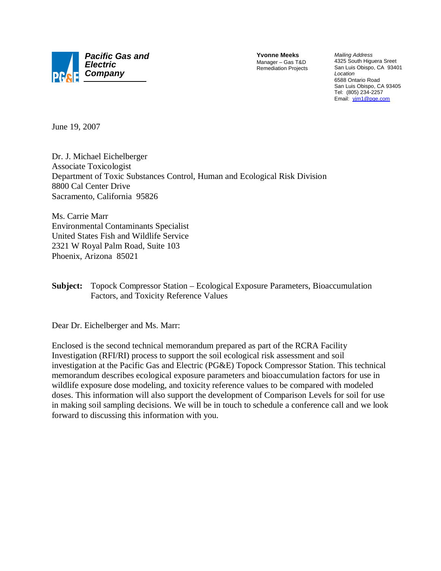

**Yvonne Meeks** Manager – Gas T&D Remediation Projects

*Mailing Address* 4325 South Higuera Sreet San Luis Obispo, CA 93401 *Location* 6588 Ontario Road San Luis Obispo, CA 93405 Tel: (805) 234-2257 Email: yjm1@pge.com

June 19, 2007

Dr. J. Michael Eichelberger Associate Toxicologist Department of Toxic Substances Control, Human and Ecological Risk Division 8800 Cal Center Drive Sacramento, California 95826

Ms. Carrie Marr Environmental Contaminants Specialist United States Fish and Wildlife Service 2321 W Royal Palm Road, Suite 103 Phoenix, Arizona 85021

**Subject:** Topock Compressor Station – Ecological Exposure Parameters, Bioaccumulation Factors, and Toxicity Reference Values

Dear Dr. Eichelberger and Ms. Marr:

Enclosed is the second technical memorandum prepared as part of the RCRA Facility Investigation (RFI/RI) process to support the soil ecological risk assessment and soil investigation at the Pacific Gas and Electric (PG&E) Topock Compressor Station. This technical memorandum describes ecological exposure parameters and bioaccumulation factors for use in wildlife exposure dose modeling, and toxicity reference values to be compared with modeled doses. This information will also support the development of Comparison Levels for soil for use in making soil sampling decisions. We will be in touch to schedule a conference call and we look forward to discussing this information with you.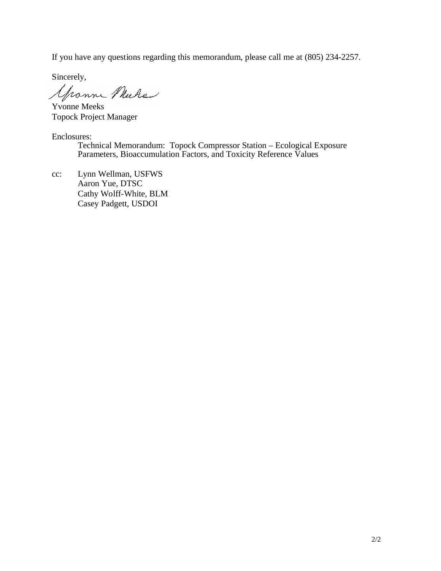If you have any questions regarding this memorandum, please call me at (805) 234-2257.

Sincerely,

Grown Mure

Yvonne Meeks Topock Project Manager

Enclosures:

Technical Memorandum: Topock Compressor Station – Ecological Exposure Parameters, Bioaccumulation Factors, and Toxicity Reference Values

cc: Lynn Wellman, USFWS Aaron Yue, DTSC Cathy Wolff-White, BLM Casey Padgett, USDOI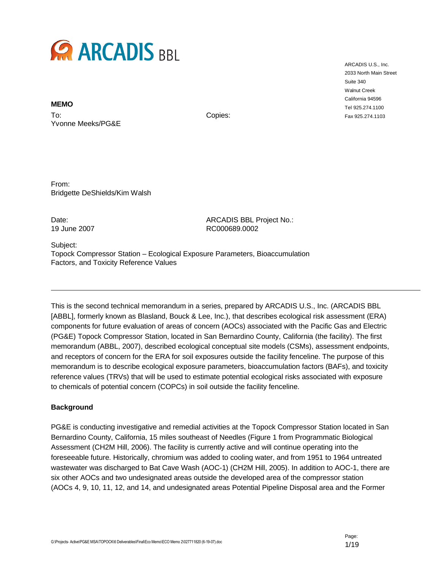

**MEMO**

To: Yvonne Meeks/PG&E

Copies:

From: Bridgette DeShields/Kim Walsh

Date: Case of the ARCADIS BBL Project No.: 19 June 2007 RC000689.0002

Subject: Topock Compressor Station – Ecological Exposure Parameters, Bioaccumulation Factors, and Toxicity Reference Values

This is the second technical memorandum in a series, prepared by ARCADIS U.S., Inc. (ARCADIS BBL [ABBL], formerly known as Blasland, Bouck & Lee, Inc.), that describes ecological risk assessment (ERA) components for future evaluation of areas of concern (AOCs) associated with the Pacific Gas and Electric (PG&E) Topock Compressor Station, located in San Bernardino County, California (the facility). The first memorandum (ABBL, 2007), described ecological conceptual site models (CSMs), assessment endpoints, and receptors of concern for the ERA for soil exposures outside the facility fenceline. The purpose of this memorandum is to describe ecological exposure parameters, bioaccumulation factors (BAFs), and toxicity reference values (TRVs) that will be used to estimate potential ecological risks associated with exposure to chemicals of potential concern (COPCs) in soil outside the facility fenceline.

### **Background**

PG&E is conducting investigative and remedial activities at the Topock Compressor Station located in San Bernardino County, California, 15 miles southeast of Needles (Figure 1 from Programmatic Biological Assessment (CH2M Hill, 2006). The facility is currently active and will continue operating into the foreseeable future. Historically, chromium was added to cooling water, and from 1951 to 1964 untreated wastewater was discharged to Bat Cave Wash (AOC-1) (CH2M Hill, 2005). In addition to AOC-1, there are six other AOCs and two undesignated areas outside the developed area of the compressor station (AOCs 4, 9, 10, 11, 12, and 14, and undesignated areas Potential Pipeline Disposal area and the Former

ARCADIS U.S., Inc. 2033 North Main Street Suite 340 Walnut Creek California 94596 Tel 925.274.1100 Fax 925.274.1103

Page: 1/19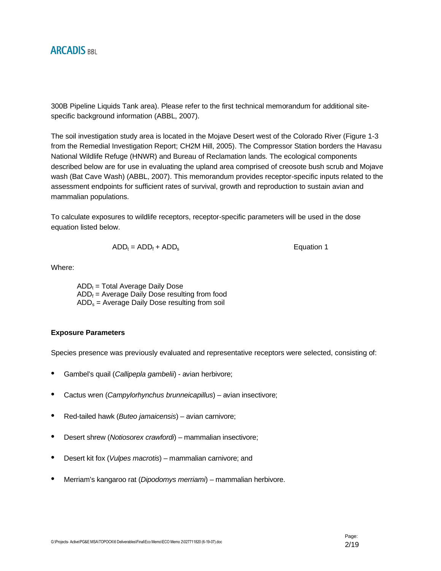300B Pipeline Liquids Tank area). Please refer to the first technical memorandum for additional sitespecific background information (ABBL, 2007).

The soil investigation study area is located in the Mojave Desert west of the Colorado River (Figure 1-3 from the Remedial Investigation Report; CH2M Hill, 2005). The Compressor Station borders the Havasu National Wildlife Refuge (HNWR) and Bureau of Reclamation lands. The ecological components described below are for use in evaluating the upland area comprised of creosote bush scrub and Mojave wash (Bat Cave Wash) (ABBL, 2007). This memorandum provides receptor-specific inputs related to the assessment endpoints for sufficient rates of survival, growth and reproduction to sustain avian and mammalian populations.

To calculate exposures to wildlife receptors, receptor-specific parameters will be used in the dose equation listed below.

$$
ADD_t = ADD_f + ADD_s
$$

Where:

 $ADD<sub>t</sub>$  = Total Average Daily Dose  $ADD_f = Average Daily Does resulting from food$  $ADD_s = Average$  Daily Dose resulting from soil

### **Exposure Parameters**

Species presence was previously evaluated and representative receptors were selected, consisting of:

- Gambel's quail (*Callipepla gambelii*) avian herbivore;
- Cactus wren (*Campylorhynchus brunneicapillus*) avian insectivore;
- Red-tailed hawk (*Buteo jamaicensis*) avian carnivore;
- Desert shrew (*Notiosorex crawfordi*) mammalian insectivore;
- Desert kit fox (*Vulpes macrotis*) mammalian carnivore; and
- Merriam's kangaroo rat (*Dipodomys merriami*) mammalian herbivore.

**Equation 1**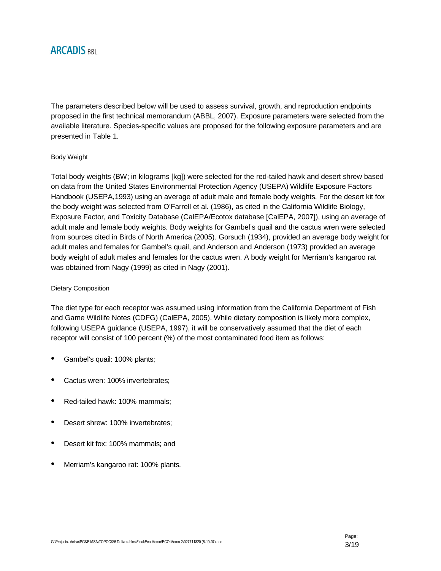The parameters described below will be used to assess survival, growth, and reproduction endpoints proposed in the first technical memorandum (ABBL, 2007). Exposure parameters were selected from the available literature. Species-specific values are proposed for the following exposure parameters and are presented in Table 1.

### Body Weight

Total body weights (BW; in kilograms [kg]) were selected for the red-tailed hawk and desert shrew based on data from the United States Environmental Protection Agency (USEPA) Wildlife Exposure Factors Handbook (USEPA,1993) using an average of adult male and female body weights. For the desert kit fox the body weight was selected from O'Farrell et al. (1986), as cited in the California Wildlife Biology, Exposure Factor, and Toxicity Database (CalEPA/Ecotox database [CalEPA, 2007]), using an average of adult male and female body weights. Body weights for Gambel's quail and the cactus wren were selected from sources cited in Birds of North America (2005). Gorsuch (1934), provided an average body weight for adult males and females for Gambel's quail, and Anderson and Anderson (1973) provided an average body weight of adult males and females for the cactus wren. A body weight for Merriam's kangaroo rat was obtained from Nagy (1999) as cited in Nagy (2001).

#### Dietary Composition

The diet type for each receptor was assumed using information from the California Department of Fish and Game Wildlife Notes (CDFG) (CalEPA, 2005). While dietary composition is likely more complex, following USEPA guidance (USEPA, 1997), it will be conservatively assumed that the diet of each receptor will consist of 100 percent (%) of the most contaminated food item as follows:

- Gambel's quail: 100% plants;
- Cactus wren: 100% invertebrates;
- Red-tailed hawk: 100% mammals;
- Desert shrew: 100% invertebrates;
- Desert kit fox: 100% mammals; and
- Merriam's kangaroo rat: 100% plants.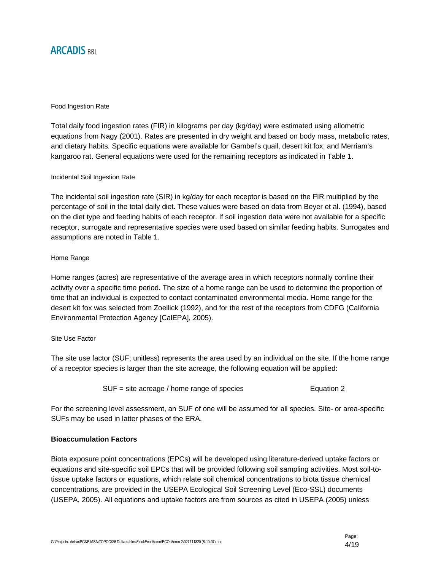#### Food Ingestion Rate

Total daily food ingestion rates (FIR) in kilograms per day (kg/day) were estimated using allometric equations from Nagy (2001). Rates are presented in dry weight and based on body mass, metabolic rates, and dietary habits. Specific equations were available for Gambel's quail, desert kit fox, and Merriam's kangaroo rat. General equations were used for the remaining receptors as indicated in Table 1.

#### Incidental Soil Ingestion Rate

The incidental soil ingestion rate (SIR) in kg/day for each receptor is based on the FIR multiplied by the percentage of soil in the total daily diet. These values were based on data from Beyer et al. (1994), based on the diet type and feeding habits of each receptor. If soil ingestion data were not available for a specific receptor, surrogate and representative species were used based on similar feeding habits. Surrogates and assumptions are noted in Table 1.

### Home Range

Home ranges (acres) are representative of the average area in which receptors normally confine their activity over a specific time period. The size of a home range can be used to determine the proportion of time that an individual is expected to contact contaminated environmental media. Home range for the desert kit fox was selected from Zoellick (1992), and for the rest of the receptors from CDFG (California Environmental Protection Agency [CalEPA], 2005).

#### Site Use Factor

The site use factor (SUF; unitless) represents the area used by an individual on the site. If the home range of a receptor species is larger than the site acreage, the following equation will be applied:

$$
SUF = site \, \text{arceage} \, / \, \text{home range of species}
$$
  $Equation \, 2$ 

For the screening level assessment, an SUF of one will be assumed for all species. Site- or area-specific SUFs may be used in latter phases of the ERA.

### **Bioaccumulation Factors**

Biota exposure point concentrations (EPCs) will be developed using literature-derived uptake factors or equations and site-specific soil EPCs that will be provided following soil sampling activities. Most soil-totissue uptake factors or equations, which relate soil chemical concentrations to biota tissue chemical concentrations, are provided in the USEPA Ecological Soil Screening Level (Eco-SSL) documents (USEPA, 2005). All equations and uptake factors are from sources as cited in USEPA (2005) unless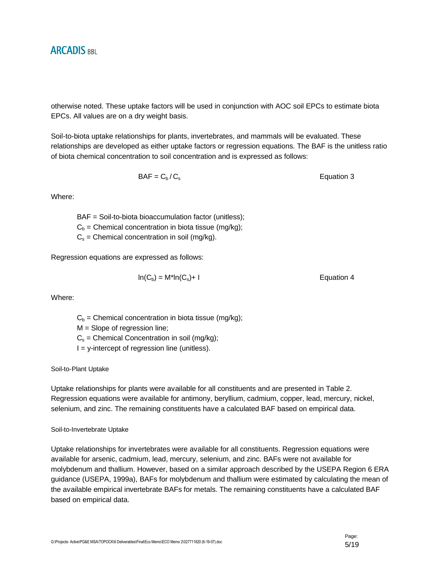otherwise noted. These uptake factors will be used in conjunction with AOC soil EPCs to estimate biota EPCs. All values are on a dry weight basis.

Soil-to-biota uptake relationships for plants, invertebrates, and mammals will be evaluated. These relationships are developed as either uptake factors or regression equations. The BAF is the unitless ratio of biota chemical concentration to soil concentration and is expressed as follows:

 $BAF = C_b / C_s$  Equation 3

Where:

BAF = Soil-to-biota bioaccumulation factor (unitless);  $C_b$  = Chemical concentration in biota tissue (mg/kg);  $C_s$  = Chemical concentration in soil (mg/kg).

Regression equations are expressed as follows:

$$
ln(C_b) = M^*ln(C_s) + 1
$$
   
Equation 4

Where:

 $C_b$  = Chemical concentration in biota tissue (mg/kg);

 $M =$  Slope of regression line;

 $C_s$  = Chemical Concentration in soil (mg/kg);

 $I = y$ -intercept of regression line (unitless).

Soil-to-Plant Uptake

Uptake relationships for plants were available for all constituents and are presented in Table 2. Regression equations were available for antimony, beryllium, cadmium, copper, lead, mercury, nickel, selenium, and zinc. The remaining constituents have a calculated BAF based on empirical data.

#### Soil-to-Invertebrate Uptake

Uptake relationships for invertebrates were available for all constituents. Regression equations were available for arsenic, cadmium, lead, mercury, selenium, and zinc. BAFs were not available for molybdenum and thallium. However, based on a similar approach described by the USEPA Region 6 ERA guidance (USEPA, 1999a), BAFs for molybdenum and thallium were estimated by calculating the mean of the available empirical invertebrate BAFs for metals. The remaining constituents have a calculated BAF based on empirical data.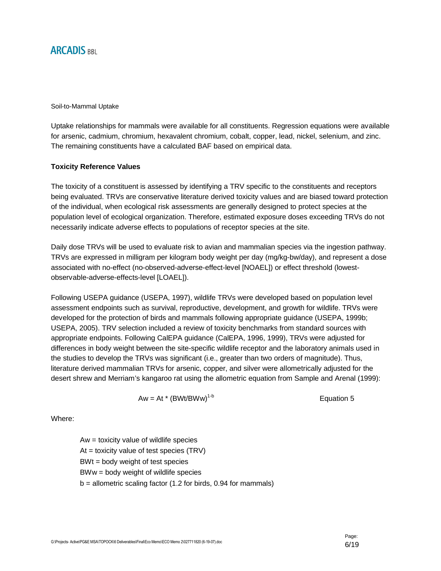Soil-to-Mammal Uptake

Uptake relationships for mammals were available for all constituents. Regression equations were available for arsenic, cadmium, chromium, hexavalent chromium, cobalt, copper, lead, nickel, selenium, and zinc. The remaining constituents have a calculated BAF based on empirical data.

### **Toxicity Reference Values**

The toxicity of a constituent is assessed by identifying a TRV specific to the constituents and receptors being evaluated. TRVs are conservative literature derived toxicity values and are biased toward protection of the individual, when ecological risk assessments are generally designed to protect species at the population level of ecological organization. Therefore, estimated exposure doses exceeding TRVs do not necessarily indicate adverse effects to populations of receptor species at the site.

Daily dose TRVs will be used to evaluate risk to avian and mammalian species via the ingestion pathway. TRVs are expressed in milligram per kilogram body weight per day (mg/kg-bw/day), and represent a dose associated with no-effect (no-observed-adverse-effect-level [NOAEL]) or effect threshold (lowestobservable-adverse-effects-level [LOAEL]).

Following USEPA guidance (USEPA, 1997), wildlife TRVs were developed based on population level assessment endpoints such as survival, reproductive, development, and growth for wildlife. TRVs were developed for the protection of birds and mammals following appropriate guidance (USEPA, 1999b; USEPA, 2005). TRV selection included a review of toxicity benchmarks from standard sources with appropriate endpoints. Following CalEPA guidance (CalEPA, 1996, 1999), TRVs were adjusted for differences in body weight between the site-specific wildlife receptor and the laboratory animals used in the studies to develop the TRVs was significant (i.e., greater than two orders of magnitude). Thus, literature derived mammalian TRVs for arsenic, copper, and silver were allometrically adjusted for the desert shrew and Merriam's kangaroo rat using the allometric equation from Sample and Arenal (1999):

$$
Aw = At * (BWt/BWW)^{1-b}
$$

Where:

Aw = toxicity value of wildlife species At  $=$  toxicity value of test species (TRV) BWt = body weight of test species BWw = body weight of wildlife species  $b =$  allometric scaling factor (1.2 for birds, 0.94 for mammals)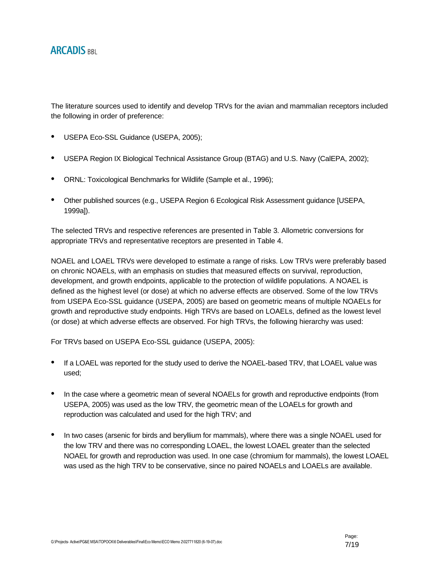The literature sources used to identify and develop TRVs for the avian and mammalian receptors included the following in order of preference:

- USEPA Eco-SSL Guidance (USEPA, 2005);
- USEPA Region IX Biological Technical Assistance Group (BTAG) and U.S. Navy (CalEPA, 2002);
- ORNL: Toxicological Benchmarks for Wildlife (Sample et al., 1996);
- Other published sources (e.g., USEPA Region 6 Ecological Risk Assessment guidance [USEPA, 1999a]).

The selected TRVs and respective references are presented in Table 3. Allometric conversions for appropriate TRVs and representative receptors are presented in Table 4.

NOAEL and LOAEL TRVs were developed to estimate a range of risks. Low TRVs were preferably based on chronic NOAELs, with an emphasis on studies that measured effects on survival, reproduction, development, and growth endpoints, applicable to the protection of wildlife populations. A NOAEL is defined as the highest level (or dose) at which no adverse effects are observed. Some of the low TRVs from USEPA Eco-SSL guidance (USEPA, 2005) are based on geometric means of multiple NOAELs for growth and reproductive study endpoints. High TRVs are based on LOAELs, defined as the lowest level (or dose) at which adverse effects are observed. For high TRVs, the following hierarchy was used:

For TRVs based on USEPA Eco-SSL guidance (USEPA, 2005):

- If a LOAEL was reported for the study used to derive the NOAEL-based TRV, that LOAEL value was used;
- In the case where a geometric mean of several NOAELs for growth and reproductive endpoints (from USEPA, 2005) was used as the low TRV, the geometric mean of the LOAELs for growth and reproduction was calculated and used for the high TRV; and
- In two cases (arsenic for birds and beryllium for mammals), where there was a single NOAEL used for the low TRV and there was no corresponding LOAEL, the lowest LOAEL greater than the selected NOAEL for growth and reproduction was used. In one case (chromium for mammals), the lowest LOAEL was used as the high TRV to be conservative, since no paired NOAELs and LOAELs are available.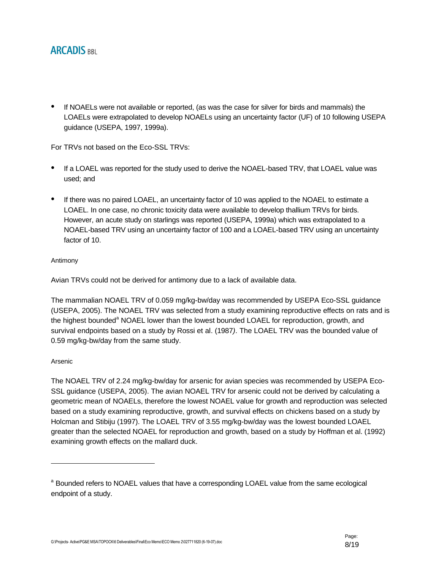• If NOAELs were not available or reported, (as was the case for silver for birds and mammals) the LOAELs were extrapolated to develop NOAELs using an uncertainty factor (UF) of 10 following USEPA guidance (USEPA, 1997, 1999a).

For TRVs not based on the Eco-SSL TRVs:

- If a LOAEL was reported for the study used to derive the NOAEL-based TRV, that LOAEL value was used; and
- If there was no paired LOAEL, an uncertainty factor of 10 was applied to the NOAEL to estimate a LOAEL. In one case, no chronic toxicity data were available to develop thallium TRVs for birds. However, an acute study on starlings was reported (USEPA, 1999a) which was extrapolated to a NOAEL-based TRV using an uncertainty factor of 100 and a LOAEL-based TRV using an uncertainty factor of 10.

### Antimony

Avian TRVs could not be derived for antimony due to a lack of available data.

The mammalian NOAEL TRV of 0.059 mg/kg-bw/day was recommended by USEPA Eco-SSL guidance (USEPA, 2005). The NOAEL TRV was selected from a study examining reproductive effects on rats and is the highest bounded<sup>a</sup> NOAEL lower than the lowest bounded LOAEL for reproduction, growth, and survival endpoints based on a study by Rossi et al. (1987*)*. The LOAEL TRV was the bounded value of 0.59 mg/kg-bw/day from the same study.

### Arsenic

The NOAEL TRV of 2.24 mg/kg-bw/day for arsenic for avian species was recommended by USEPA Eco-SSL guidance (USEPA, 2005). The avian NOAEL TRV for arsenic could not be derived by calculating a geometric mean of NOAELs, therefore the lowest NOAEL value for growth and reproduction was selected based on a study examining reproductive, growth, and survival effects on chickens based on a study by Holcman and Stibiju (1997). The LOAEL TRV of 3.55 mg/kg-bw/day was the lowest bounded LOAEL greater than the selected NOAEL for reproduction and growth, based on a study by Hoffman et al. (1992) examining growth effects on the mallard duck.

<sup>&</sup>lt;sup>a</sup> Bounded refers to NOAEL values that have a corresponding LOAEL value from the same ecological endpoint of a study.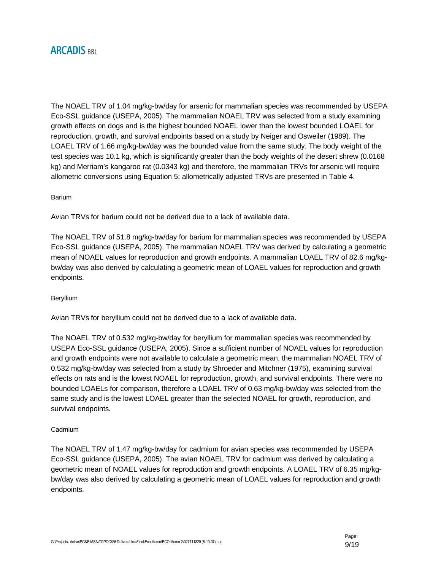The NOAEL TRV of 1.04 mg/kg-bw/day for arsenic for mammalian species was recommended by USEPA Eco-SSL guidance (USEPA, 2005). The mammalian NOAEL TRV was selected from a study examining growth effects on dogs and is the highest bounded NOAEL lower than the lowest bounded LOAEL for reproduction, growth, and survival endpoints based on a study by Neiger and Osweiler (1989). The LOAEL TRV of 1.66 mg/kg-bw/day was the bounded value from the same study. The body weight of the test species was 10.1 kg, which is significantly greater than the body weights of the desert shrew (0.0168 kg) and Merriam's kangaroo rat (0.0343 kg) and therefore, the mammalian TRVs for arsenic will require allometric conversions using Equation 5; allometrically adjusted TRVs are presented in Table 4.

#### Barium

Avian TRVs for barium could not be derived due to a lack of available data.

The NOAEL TRV of 51.8 mg/kg-bw/day for barium for mammalian species was recommended by USEPA Eco-SSL guidance (USEPA, 2005). The mammalian NOAEL TRV was derived by calculating a geometric mean of NOAEL values for reproduction and growth endpoints. A mammalian LOAEL TRV of 82.6 mg/kgbw/day was also derived by calculating a geometric mean of LOAEL values for reproduction and growth endpoints.

#### Beryllium

Avian TRVs for beryllium could not be derived due to a lack of available data.

The NOAEL TRV of 0.532 mg/kg-bw/day for beryllium for mammalian species was recommended by USEPA Eco-SSL guidance (USEPA, 2005). Since a sufficient number of NOAEL values for reproduction and growth endpoints were not available to calculate a geometric mean, the mammalian NOAEL TRV of 0.532 mg/kg-bw/day was selected from a study by Shroeder and Mitchner (1975), examining survival effects on rats and is the lowest NOAEL for reproduction, growth, and survival endpoints. There were no bounded LOAELs for comparison, therefore a LOAEL TRV of 0.63 mg/kg-bw/day was selected from the same study and is the lowest LOAEL greater than the selected NOAEL for growth, reproduction, and survival endpoints.

#### Cadmium

The NOAEL TRV of 1.47 mg/kg-bw/day for cadmium for avian species was recommended by USEPA Eco-SSL guidance (USEPA, 2005). The avian NOAEL TRV for cadmium was derived by calculating a geometric mean of NOAEL values for reproduction and growth endpoints. A LOAEL TRV of 6.35 mg/kgbw/day was also derived by calculating a geometric mean of LOAEL values for reproduction and growth endpoints.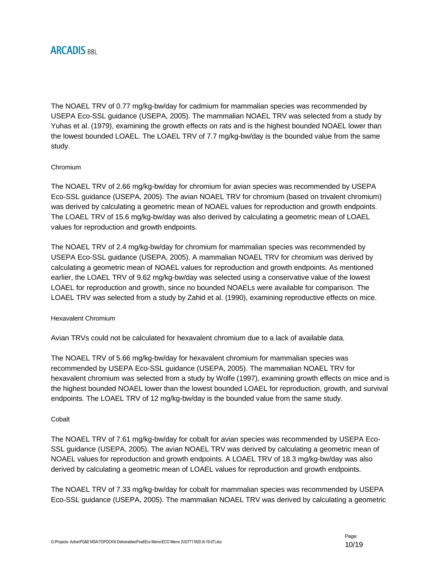The NOAEL TRV of 0.77 mg/kg-bw/day for cadmium for mammalian species was recommended by USEPA Eco-SSL guidance (USEPA, 2005). The mammalian NOAEL TRV was selected from a study by Yuhas et al. (1979), examining the growth effects on rats and is the highest bounded NOAEL lower than the lowest bounded LOAEL. The LOAEL TRV of 7.7 mg/kg-bw/day is the bounded value from the same study.

## Chromium

The NOAEL TRV of 2.66 mg/kg-bw/day for chromium for avian species was recommended by USEPA Eco-SSL guidance (USEPA, 2005). The avian NOAEL TRV for chromium (based on trivalent chromium) was derived by calculating a geometric mean of NOAEL values for reproduction and growth endpoints. The LOAEL TRV of 15.6 mg/kg-bw/day was also derived by calculating a geometric mean of LOAEL values for reproduction and growth endpoints.

The NOAEL TRV of 2.4 mg/kg-bw/day for chromium for mammalian species was recommended by USEPA Eco-SSL guidance (USEPA, 2005). A mammalian NOAEL TRV for chromium was derived by calculating a geometric mean of NOAEL values for reproduction and growth endpoints. As mentioned earlier, the LOAEL TRV of 9.62 mg/kg-bw/day was selected using a conservative value of the lowest LOAEL for reproduction and growth, since no bounded NOAELs were available for comparison. The LOAEL TRV was selected from a study by Zahid et al. (1990), examining reproductive effects on mice.

### Hexavalent Chromium

Avian TRVs could not be calculated for hexavalent chromium due to a lack of available data.

The NOAEL TRV of 5.66 mg/kg-bw/day for hexavalent chromium for mammalian species was recommended by USEPA Eco-SSL guidance (USEPA, 2005). The mammalian NOAEL TRV for hexavalent chromium was selected from a study by Wolfe (1997), examining growth effects on mice and is the highest bounded NOAEL lower than the lowest bounded LOAEL for reproduction, growth, and survival endpoints. The LOAEL TRV of 12 mg/kg-bw/day is the bounded value from the same study.

### **Cobalt**

The NOAEL TRV of 7.61 mg/kg-bw/day for cobalt for avian species was recommended by USEPA Eco-SSL guidance (USEPA, 2005). The avian NOAEL TRV was derived by calculating a geometric mean of NOAEL values for reproduction and growth endpoints. A LOAEL TRV of 18.3 mg/kg-bw/day was also derived by calculating a geometric mean of LOAEL values for reproduction and growth endpoints.

The NOAEL TRV of 7.33 mg/kg-bw/day for cobalt for mammalian species was recommended by USEPA Eco-SSL guidance (USEPA, 2005). The mammalian NOAEL TRV was derived by calculating a geometric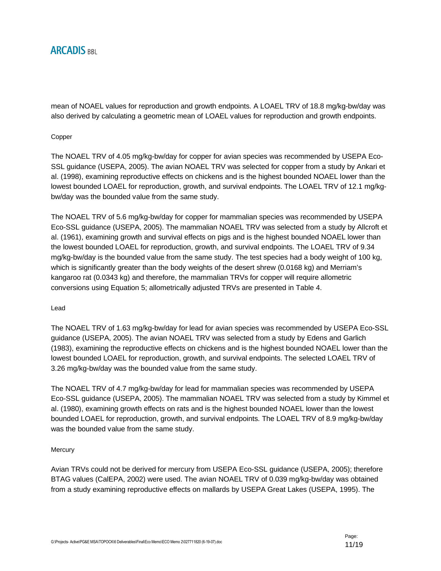

mean of NOAEL values for reproduction and growth endpoints. A LOAEL TRV of 18.8 mg/kg-bw/day was also derived by calculating a geometric mean of LOAEL values for reproduction and growth endpoints.

#### Copper

The NOAEL TRV of 4.05 mg/kg-bw/day for copper for avian species was recommended by USEPA Eco-SSL guidance (USEPA, 2005). The avian NOAEL TRV was selected for copper from a study by Ankari et al. (1998), examining reproductive effects on chickens and is the highest bounded NOAEL lower than the lowest bounded LOAEL for reproduction, growth, and survival endpoints. The LOAEL TRV of 12.1 mg/kgbw/day was the bounded value from the same study.

The NOAEL TRV of 5.6 mg/kg-bw/day for copper for mammalian species was recommended by USEPA Eco-SSL guidance (USEPA, 2005). The mammalian NOAEL TRV was selected from a study by Allcroft et al. (1961), examining growth and survival effects on pigs and is the highest bounded NOAEL lower than the lowest bounded LOAEL for reproduction, growth, and survival endpoints. The LOAEL TRV of 9.34 mg/kg-bw/day is the bounded value from the same study. The test species had a body weight of 100 kg, which is significantly greater than the body weights of the desert shrew (0.0168 kg) and Merriam's kangaroo rat (0.0343 kg) and therefore, the mammalian TRVs for copper will require allometric conversions using Equation 5; allometrically adjusted TRVs are presented in Table 4.

#### Lead

The NOAEL TRV of 1.63 mg/kg-bw/day for lead for avian species was recommended by USEPA Eco-SSL guidance (USEPA, 2005). The avian NOAEL TRV was selected from a study by Edens and Garlich (1983), examining the reproductive effects on chickens and is the highest bounded NOAEL lower than the lowest bounded LOAEL for reproduction, growth, and survival endpoints. The selected LOAEL TRV of 3.26 mg/kg-bw/day was the bounded value from the same study.

The NOAEL TRV of 4.7 mg/kg-bw/day for lead for mammalian species was recommended by USEPA Eco-SSL guidance (USEPA, 2005). The mammalian NOAEL TRV was selected from a study by Kimmel et al. (1980), examining growth effects on rats and is the highest bounded NOAEL lower than the lowest bounded LOAEL for reproduction, growth, and survival endpoints. The LOAEL TRV of 8.9 mg/kg-bw/day was the bounded value from the same study.

#### **Mercury**

Avian TRVs could not be derived for mercury from USEPA Eco-SSL guidance (USEPA, 2005); therefore BTAG values (CalEPA, 2002) were used. The avian NOAEL TRV of 0.039 mg/kg-bw/day was obtained from a study examining reproductive effects on mallards by USEPA Great Lakes (USEPA, 1995). The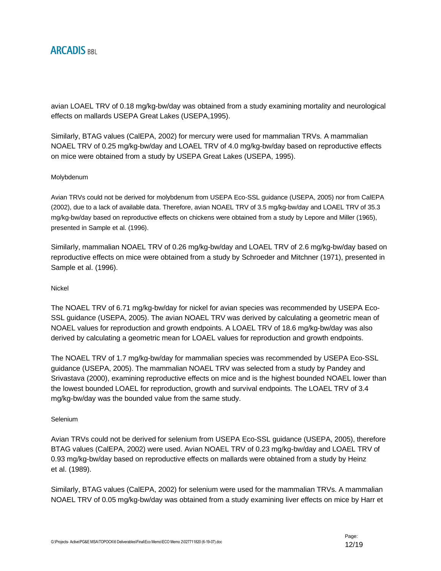avian LOAEL TRV of 0.18 mg/kg-bw/day was obtained from a study examining mortality and neurological effects on mallards USEPA Great Lakes (USEPA,1995).

Similarly, BTAG values (CalEPA, 2002) for mercury were used for mammalian TRVs. A mammalian NOAEL TRV of 0.25 mg/kg-bw/day and LOAEL TRV of 4.0 mg/kg-bw/day based on reproductive effects on mice were obtained from a study by USEPA Great Lakes (USEPA, 1995).

### Molybdenum

Avian TRVs could not be derived for molybdenum from USEPA Eco-SSL guidance (USEPA, 2005) nor from CalEPA (2002), due to a lack of available data. Therefore, avian NOAEL TRV of 3.5 mg/kg-bw/day and LOAEL TRV of 35.3 mg/kg-bw/day based on reproductive effects on chickens were obtained from a study by Lepore and Miller (1965), presented in Sample et al. (1996).

Similarly, mammalian NOAEL TRV of 0.26 mg/kg-bw/day and LOAEL TRV of 2.6 mg/kg-bw/day based on reproductive effects on mice were obtained from a study by Schroeder and Mitchner (1971), presented in Sample et al. (1996).

#### Nickel

The NOAEL TRV of 6.71 mg/kg-bw/day for nickel for avian species was recommended by USEPA Eco-SSL guidance (USEPA, 2005). The avian NOAEL TRV was derived by calculating a geometric mean of NOAEL values for reproduction and growth endpoints. A LOAEL TRV of 18.6 mg/kg-bw/day was also derived by calculating a geometric mean for LOAEL values for reproduction and growth endpoints.

The NOAEL TRV of 1.7 mg/kg-bw/day for mammalian species was recommended by USEPA Eco-SSL guidance (USEPA, 2005). The mammalian NOAEL TRV was selected from a study by Pandey and Srivastava (2000), examining reproductive effects on mice and is the highest bounded NOAEL lower than the lowest bounded LOAEL for reproduction, growth and survival endpoints. The LOAEL TRV of 3.4 mg/kg-bw/day was the bounded value from the same study.

#### Selenium

Avian TRVs could not be derived for selenium from USEPA Eco-SSL guidance (USEPA, 2005), therefore BTAG values (CalEPA, 2002) were used. Avian NOAEL TRV of 0.23 mg/kg-bw/day and LOAEL TRV of 0.93 mg/kg-bw/day based on reproductive effects on mallards were obtained from a study by Heinz et al. (1989).

Similarly, BTAG values (CalEPA, 2002) for selenium were used for the mammalian TRVs. A mammalian NOAEL TRV of 0.05 mg/kg-bw/day was obtained from a study examining liver effects on mice by Harr et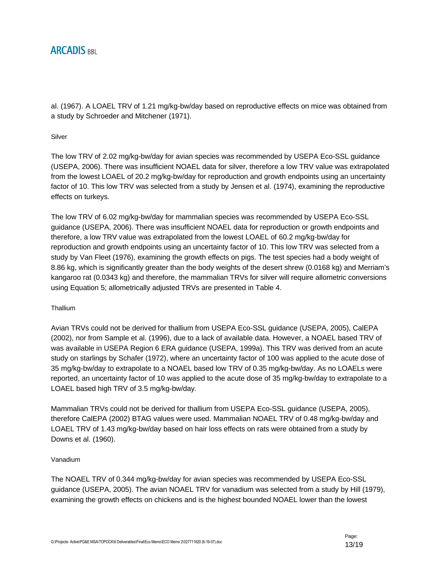al. (1967). A LOAEL TRV of 1.21 mg/kg-bw/day based on reproductive effects on mice was obtained from a study by Schroeder and Mitchener (1971).

#### Silver

The low TRV of 2.02 mg/kg-bw/day for avian species was recommended by USEPA Eco-SSL guidance (USEPA, 2006). There was insufficient NOAEL data for silver, therefore a low TRV value was extrapolated from the lowest LOAEL of 20.2 mg/kg-bw/day for reproduction and growth endpoints using an uncertainty factor of 10. This low TRV was selected from a study by Jensen et al. (1974), examining the reproductive effects on turkeys.

The low TRV of 6.02 mg/kg-bw/day for mammalian species was recommended by USEPA Eco-SSL guidance (USEPA, 2006). There was insufficient NOAEL data for reproduction or growth endpoints and therefore, a low TRV value was extrapolated from the lowest LOAEL of 60.2 mg/kg-bw/day for reproduction and growth endpoints using an uncertainty factor of 10. This low TRV was selected from a study by Van Fleet (1976), examining the growth effects on pigs. The test species had a body weight of 8.86 kg, which is significantly greater than the body weights of the desert shrew (0.0168 kg) and Merriam's kangaroo rat (0.0343 kg) and therefore, the mammalian TRVs for silver will require allometric conversions using Equation 5; allometrically adjusted TRVs are presented in Table 4.

### **Thallium**

Avian TRVs could not be derived for thallium from USEPA Eco-SSL guidance (USEPA, 2005), CalEPA (2002), nor from Sample et al. (1996), due to a lack of available data. However, a NOAEL based TRV of was available in USEPA Region 6 ERA guidance (USEPA, 1999a). This TRV was derived from an acute study on starlings by Schafer (1972), where an uncertainty factor of 100 was applied to the acute dose of 35 mg/kg-bw/day to extrapolate to a NOAEL based low TRV of 0.35 mg/kg-bw/day. As no LOAELs were reported, an uncertainty factor of 10 was applied to the acute dose of 35 mg/kg-bw/day to extrapolate to a LOAEL based high TRV of 3.5 mg/kg-bw/day.

Mammalian TRVs could not be derived for thallium from USEPA Eco-SSL guidance (USEPA, 2005), therefore CalEPA (2002) BTAG values were used. Mammalian NOAEL TRV of 0.48 mg/kg-bw/day and LOAEL TRV of 1.43 mg/kg-bw/day based on hair loss effects on rats were obtained from a study by Downs et al. (1960).

#### Vanadium

The NOAEL TRV of 0.344 mg/kg-bw/day for avian species was recommended by USEPA Eco-SSL guidance (USEPA, 2005). The avian NOAEL TRV for vanadium was selected from a study by Hill (1979), examining the growth effects on chickens and is the highest bounded NOAEL lower than the lowest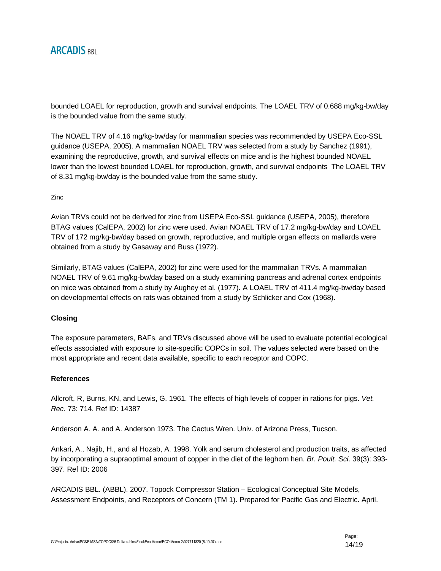bounded LOAEL for reproduction, growth and survival endpoints. The LOAEL TRV of 0.688 mg/kg-bw/day is the bounded value from the same study.

The NOAEL TRV of 4.16 mg/kg-bw/day for mammalian species was recommended by USEPA Eco-SSL guidance (USEPA, 2005). A mammalian NOAEL TRV was selected from a study by Sanchez (1991), examining the reproductive, growth, and survival effects on mice and is the highest bounded NOAEL lower than the lowest bounded LOAEL for reproduction, growth, and survival endpoints The LOAEL TRV of 8.31 mg/kg-bw/day is the bounded value from the same study.

Zinc

Avian TRVs could not be derived for zinc from USEPA Eco-SSL guidance (USEPA, 2005), therefore BTAG values (CalEPA, 2002) for zinc were used. Avian NOAEL TRV of 17.2 mg/kg-bw/day and LOAEL TRV of 172 mg/kg-bw/day based on growth, reproductive, and multiple organ effects on mallards were obtained from a study by Gasaway and Buss (1972).

Similarly, BTAG values (CalEPA, 2002) for zinc were used for the mammalian TRVs. A mammalian NOAEL TRV of 9.61 mg/kg-bw/day based on a study examining pancreas and adrenal cortex endpoints on mice was obtained from a study by Aughey et al. (1977). A LOAEL TRV of 411.4 mg/kg-bw/day based on developmental effects on rats was obtained from a study by Schlicker and Cox (1968).

### **Closing**

The exposure parameters, BAFs, and TRVs discussed above will be used to evaluate potential ecological effects associated with exposure to site-specific COPCs in soil. The values selected were based on the most appropriate and recent data available, specific to each receptor and COPC.

### **References**

Allcroft, R, Burns, KN, and Lewis, G. 1961. The effects of high levels of copper in rations for pigs. *Vet. Rec*. 73: 714. Ref ID: 14387

Anderson A. A. and A. Anderson 1973. The Cactus Wren. Univ. of Arizona Press, Tucson.

Ankari, A., Najib, H., and al Hozab, A. 1998. Yolk and serum cholesterol and production traits, as affected by incorporating a supraoptimal amount of copper in the diet of the leghorn hen. *Br. Poult. Sci*. 39(3): 393- 397. Ref ID: 2006

ARCADIS BBL. (ABBL). 2007. Topock Compressor Station – Ecological Conceptual Site Models, Assessment Endpoints, and Receptors of Concern (TM 1). Prepared for Pacific Gas and Electric. April.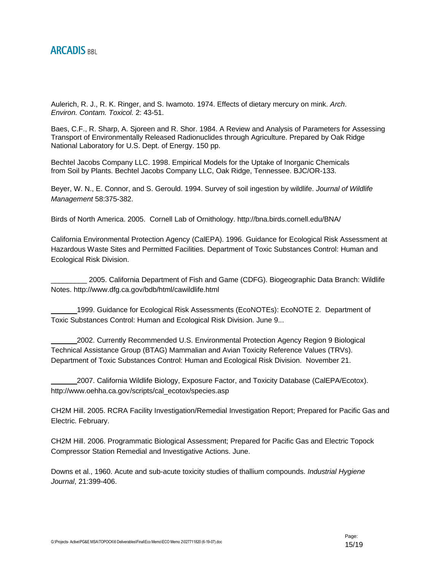Aulerich, R. J., R. K. Ringer, and S. Iwamoto. 1974. Effects of dietary mercury on mink. *Arch*. *Environ. Contam. Toxicol.* 2: 43-51.

Baes, C.F., R. Sharp, A. Sjoreen and R. Shor. 1984. A Review and Analysis of Parameters for Assessing Transport of Environmentally Released Radionuclides through Agriculture. Prepared by Oak Ridge National Laboratory for U.S. Dept. of Energy. 150 pp.

Bechtel Jacobs Company LLC. 1998. Empirical Models for the Uptake of Inorganic Chemicals from Soil by Plants. Bechtel Jacobs Company LLC, Oak Ridge, Tennessee. BJC/OR-133.

Beyer, W. N., E. Connor, and S. Gerould. 1994. Survey of soil ingestion by wildlife. *Journal of Wildlife Management* 58:375-382.

Birds of North America. 2005. Cornell Lab of Ornithology. http://bna.birds.cornell.edu/BNA/

California Environmental Protection Agency (CalEPA). 1996. Guidance for Ecological Risk Assessment at Hazardous Waste Sites and Permitted Facilities. Department of Toxic Substances Control: Human and Ecological Risk Division.

\_\_\_\_\_\_\_\_\_ 2005. California Department of Fish and Game (CDFG). Biogeographic Data Branch: Wildlife Notes. http://www.dfg.ca.gov/bdb/html/cawildlife.html

1999. Guidance for Ecological Risk Assessments (EcoNOTEs): EcoNOTE 2. Department of Toxic Substances Control: Human and Ecological Risk Division. June 9...

2002. Currently Recommended U.S. Environmental Protection Agency Region 9 Biological Technical Assistance Group (BTAG) Mammalian and Avian Toxicity Reference Values (TRVs). Department of Toxic Substances Control: Human and Ecological Risk Division. November 21.

2007. California Wildlife Biology, Exposure Factor, and Toxicity Database (CalEPA/Ecotox). http://www.oehha.ca.gov/scripts/cal\_ecotox/species.asp

CH2M Hill. 2005. RCRA Facility Investigation/Remedial Investigation Report; Prepared for Pacific Gas and Electric. February.

CH2M Hill. 2006. Programmatic Biological Assessment; Prepared for Pacific Gas and Electric Topock Compressor Station Remedial and Investigative Actions. June.

Downs et al., 1960. Acute and sub-acute toxicity studies of thallium compounds. *Industrial Hygiene Journal*, 21:399-406.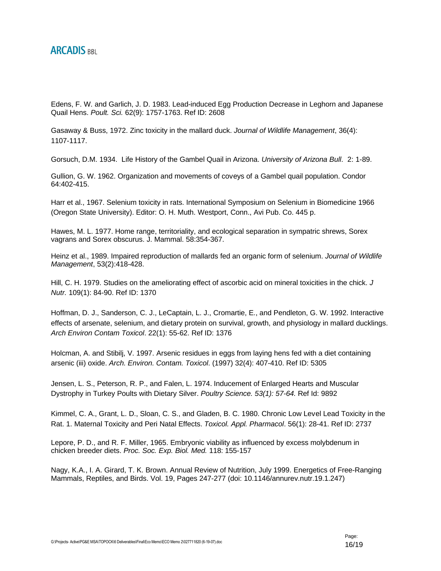Edens, F. W. and Garlich, J. D. 1983. Lead-induced Egg Production Decrease in Leghorn and Japanese Quail Hens. *Poult. Sci.* 62(9): 1757-1763. Ref ID: 2608

Gasaway & Buss, 1972. Zinc toxicity in the mallard duck. *Journal of Wildlife Management*, 36(4): 1107-1117.

Gorsuch, D.M. 1934. Life History of the Gambel Quail in Arizona. *University of Arizona Bull*. 2: 1-89.

Gullion, G. W. 1962. Organization and movements of coveys of a Gambel quail population. Condor 64:402-415.

Harr et al., 1967. Selenium toxicity in rats. International Symposium on Selenium in Biomedicine 1966 (Oregon State University). Editor: O. H. Muth. Westport, Conn., Avi Pub. Co. 445 p.

Hawes, M. L. 1977. Home range, territoriality, and ecological separation in sympatric shrews, Sorex vagrans and Sorex obscurus. J. Mammal. 58:354-367.

Heinz et al., 1989. Impaired reproduction of mallards fed an organic form of selenium. *Journal of Wildlife Management*, 53(2):418-428.

Hill, C. H. 1979. Studies on the ameliorating effect of ascorbic acid on mineral toxicities in the chick. *J Nutr.* 109(1): 84-90. Ref ID: 1370

Hoffman, D. J., Sanderson, C. J., LeCaptain, L. J., Cromartie, E., and Pendleton, G. W. 1992. Interactive effects of arsenate, selenium, and dietary protein on survival, growth, and physiology in mallard ducklings. *Arch Environ Contam Toxicol*. 22(1): 55-62. Ref ID: 1376

Holcman, A. and Stibilj, V. 1997. Arsenic residues in eggs from laying hens fed with a diet containing arsenic (iii) oxide. *Arch. Environ. Contam. Toxicol*. (1997) 32(4): 407-410. Ref ID: 5305

Jensen, L. S., Peterson, R. P., and Falen, L. 1974. Inducement of Enlarged Hearts and Muscular Dystrophy in Turkey Poults with Dietary Silver. *Poultry Science. 53(1): 57-64.* Ref Id: 9892

Kimmel, C. A., Grant, L. D., Sloan, C. S., and Gladen, B. C. 1980. Chronic Low Level Lead Toxicity in the Rat. 1. Maternal Toxicity and Peri Natal Effects. *Toxicol. Appl. Pharmacol*. 56(1): 28-41. Ref ID: 2737

Lepore, P. D., and R. F. Miller, 1965. Embryonic viability as influenced by excess molybdenum in chicken breeder diets. *Proc. Soc. Exp. Biol. Med.* 118: 155-157

Nagy, K.A., I. A. Girard, T. K. Brown. Annual Review of Nutrition, July 1999. Energetics of Free-Ranging Mammals, Reptiles, and Birds. Vol. 19, Pages 247-277 (doi: 10.1146/annurev.nutr.19.1.247)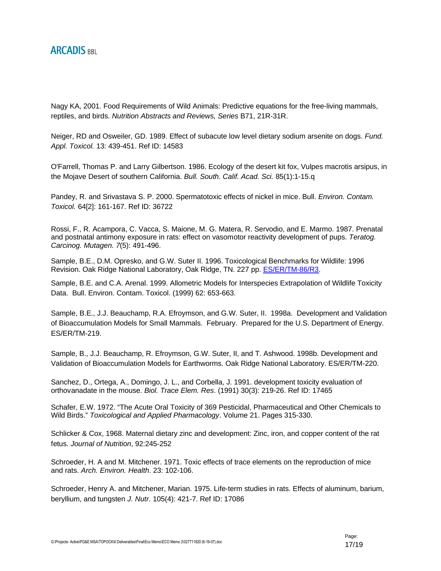Nagy KA, 2001. Food Requirements of Wild Animals: Predictive equations for the free-living mammals, reptiles, and birds. *Nutrition Abstracts and Reviews, Series* B71, 21R-31R.

Neiger, RD and Osweiler, GD. 1989. Effect of subacute low level dietary sodium arsenite on dogs. *Fund. Appl. Toxicol.* 13: 439-451. Ref ID: 14583

O'Farrell, Thomas P. and Larry Gilbertson. 1986. Ecology of the desert kit fox, Vulpes macrotis arsipus, in the Mojave Desert of southern California. *Bull. South. Calif. Acad. Sci.* 85(1):1-15.q

Pandey, R. and Srivastava S. P. 2000. Spermatotoxic effects of nickel in mice. Bull. *Environ. Contam. Toxicol.* 64[2]: 161-167. Ref ID: 36722

Rossi, F., R. Acampora, C. Vacca, S. Maione, M. G. Matera, R. Servodio, and E. Marmo. 1987. Prenatal and postnatal antimony exposure in rats: effect on vasomotor reactivity development of pups. *Teratog. Carcinog. Mutagen. 7*(5): 491-496.

Sample, B.E., D.M. Opresko, and G.W. Suter II. 1996. Toxicological Benchmarks for Wildlife: 1996 Revision. Oak Ridge National Laboratory, Oak Ridge, TN. 227 pp. **ES/ER/TM-86/R3.** 

Sample, B.E. and C.A. Arenal. 1999. Allometric Models for Interspecies Extrapolation of Wildlife Toxicity Data. Bull. Environ. Contam. Toxicol. (1999) 62: 653-663.

Sample, B.E., J.J. Beauchamp, R.A. Efroymson, and G.W. Suter, II. 1998a. Development and Validation of Bioaccumulation Models for Small Mammals. February. Prepared for the U.S. Department of Energy. ES/ER/TM-219.

Sample, B., J.J. Beauchamp, R. Efroymson, G.W. Suter, II, and T. Ashwood. 1998b. Development and Validation of Bioaccumulation Models for Earthworms. Oak Ridge National Laboratory. ES/ER/TM-220.

Sanchez, D., Ortega, A., Domingo, J. L., and Corbella, J. 1991. development toxicity evaluation of orthovanadate in the mouse. *Biol. Trace Elem. Res*. (1991) 30(3): 219-26. Ref ID: 17465

Schafer, E.W. 1972. "The Acute Oral Toxicity of 369 Pesticidal, Pharmaceutical and Other Chemicals to Wild Birds." *Toxicological and Applied Pharmacology*. Volume 21. Pages 315-330.

Schlicker & Cox, 1968. Maternal dietary zinc and development: Zinc, iron, and copper content of the rat fetus. *Journal of Nutrition*, 92:245-252

Schroeder, H. A and M. Mitchener. 1971. Toxic effects of trace elements on the reproduction of mice and rats. *Arch. Environ. Health*. 23: 102-106.

Schroeder, Henry A. and Mitchener, Marian. 1975. Life-term studies in rats. Effects of aluminum, barium, beryllium, and tungsten *J. Nutr*. 105(4): 421-7. Ref ID: 17086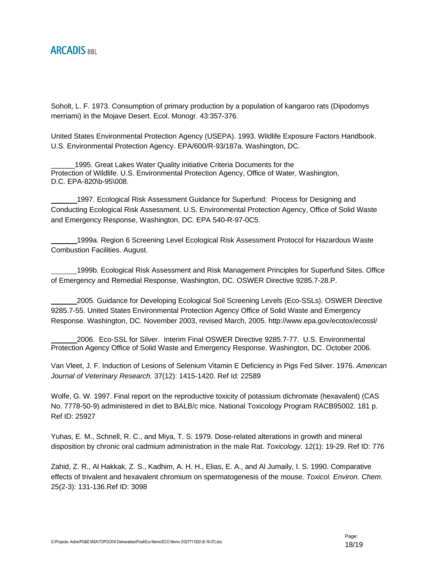Soholt, L. F. 1973. Consumption of primary production by a population of kangaroo rats (Dipodomys merriami) in the Mojave Desert. Ecol. Monogr. 43:357-376.

United States Environmental Protection Agency (USEPA). 1993. Wildlife Exposure Factors Handbook. U.S. Environmental Protection Agency. EPA/600/R-93/187a. Washington, DC.

1995. Great Lakes Water Quality initiative Criteria Documents for the Protection of Wildlife. U.S. Environmental Protection Agency, Office of Water, Washington, D.C. EPA-820\b-95\008.

1997. Ecological Risk Assessment Guidance for Superfund: Process for Designing and Conducting Ecological Risk Assessment. U.S. Environmental Protection Agency, Office of Solid Waste and Emergency Response, Washington, DC. EPA 540-R-97-0C5.

1999a. Region 6 Screening Level Ecological Risk Assessment Protocol for Hazardous Waste Combustion Facilities. August.

1999b. Ecological Risk Assessment and Risk Management Principles for Superfund Sites. Office of Emergency and Remedial Response, Washington, DC. OSWER Directive 9285.7-28.P.

2005. Guidance for Developing Ecological Soil Screening Levels (Eco-SSLs). OSWER Directive 9285.7-55. United States Environmental Protection Agency Office of Solid Waste and Emergency Response. Washington, DC. November 2003, revised March, 2005. http://www.epa.gov/ecotox/ecossl/

2006. Eco-SSL for Silver. Interim Final OSWER Directive 9285.7-77. U.S. Environmental Protection Agency Office of Solid Waste and Emergency Response. Washington, DC. October 2006.

Van Vleet, J. F. Induction of Lesions of Selenium Vitamin E Deficiency in Pigs Fed Silver. 1976. *American Journal of Veterinary Research.* 37(12): 1415-1420. Ref Id: 22589

Wolfe, G. W. 1997. Final report on the reproductive toxicity of potassium dichromate (hexavalent) (CAS No. 7778-50-9) administered in diet to BALB/c mice. National Toxicology Program RACB95002. 181 p. Ref ID: 25927

Yuhas, E. M., Schnell, R. C., and Miya, T. S. 1979. Dose-related alterations in growth and mineral disposition by chronic oral cadmium administration in the male Rat. *Toxicology.* 12(1): 19-29. Ref ID: 776

Zahid, Z. R., Al Hakkak, Z. S., Kadhim, A. H. H., Elias, E. A., and Al Jumaily, I. S. 1990. Comparative effects of trivalent and hexavalent chromium on spermatogenesis of the mouse. *Toxicol. Environ. Chem*. 25(2-3): 131-136.Ref ID: 3098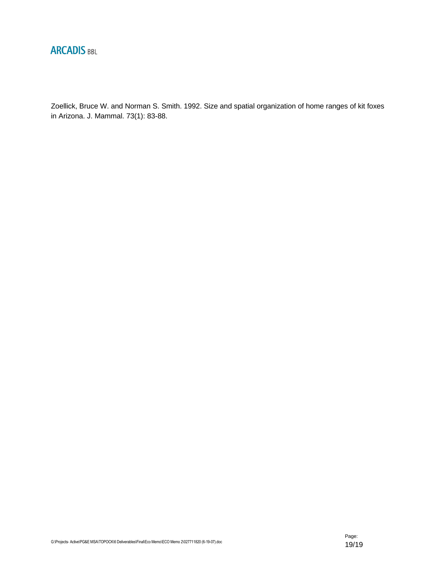

Zoellick, Bruce W. and Norman S. Smith. 1992. Size and spatial organization of home ranges of kit foxes in Arizona. J. Mammal. 73(1): 83-88.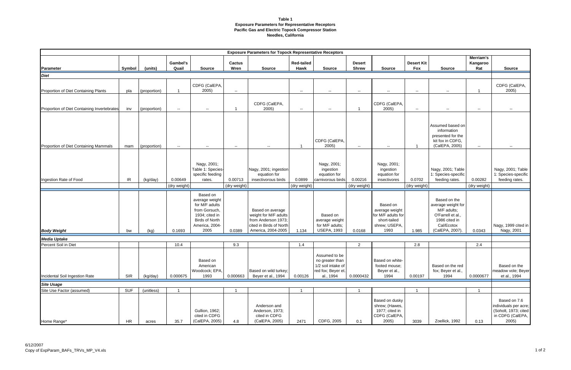#### **Table 1 Exposure Parameters for Representative Receptors Pacific Gas and Electric Topock Compressor Station Needles, California**

| <b>Exposure Parameters for Topock Representative Receptors</b> |            |              |                   |                                                                                                                                    |                          |                                                                                                                   |                           |                                                                                           |                               |                                                                                           |                          |                                                                                                                          |                              |                                                                                            |
|----------------------------------------------------------------|------------|--------------|-------------------|------------------------------------------------------------------------------------------------------------------------------------|--------------------------|-------------------------------------------------------------------------------------------------------------------|---------------------------|-------------------------------------------------------------------------------------------|-------------------------------|-------------------------------------------------------------------------------------------|--------------------------|--------------------------------------------------------------------------------------------------------------------------|------------------------------|--------------------------------------------------------------------------------------------|
| Parameter                                                      | Symbol     | (units)      | Gambel's<br>Quail | <b>Source</b>                                                                                                                      | Cactus<br>Wren           | <b>Source</b>                                                                                                     | <b>Red-tailed</b><br>Hawk | <b>Source</b>                                                                             | <b>Desert</b><br><b>Shrew</b> | <b>Source</b>                                                                             | <b>Desert Kit</b><br>Fox | <b>Source</b>                                                                                                            | Merriam's<br>Kangaroo<br>Rat | <b>Source</b>                                                                              |
| <b>Diet</b>                                                    |            |              |                   |                                                                                                                                    |                          |                                                                                                                   |                           |                                                                                           |                               |                                                                                           |                          |                                                                                                                          |                              |                                                                                            |
| Proportion of Diet Containing Plants                           | pla        | (proportion) |                   | CDFG (CalEPA,<br>2005)                                                                                                             | $\sim$                   |                                                                                                                   | $\sim$                    | $\sim$                                                                                    | --                            | $\sim$                                                                                    | $\sim$                   | $\overline{\phantom{a}}$                                                                                                 |                              | CDFG (CalEPA,<br>2005)                                                                     |
|                                                                |            |              |                   |                                                                                                                                    |                          | CDFG (CalEPA,<br>2005)                                                                                            |                           |                                                                                           |                               | CDFG (CalEPA,<br>2005)                                                                    |                          |                                                                                                                          |                              |                                                                                            |
| Proportion of Diet Containing Invertebrates                    | inv        | (proportion) | $\sim$            | $\overline{\phantom{a}}$                                                                                                           |                          |                                                                                                                   | $\sim$                    | $\overline{\phantom{a}}$                                                                  |                               |                                                                                           | $\sim$                   | $\overline{\phantom{a}}$                                                                                                 | $\overline{\phantom{a}}$     | $\overline{\phantom{a}}$                                                                   |
| Proportion of Diet Containing Mammals                          | mam        | (proportion) | $\sim$            | $\overline{\phantom{a}}$                                                                                                           | $\overline{\phantom{a}}$ | $\sim$                                                                                                            |                           | CDFG (CalEPA,<br>2005)                                                                    | $\overline{\phantom{a}}$      | н.                                                                                        |                          | Assumed based on<br>information<br>presented for the<br>kit fox in CDFG,<br>(CalEPA, 2005)                               | $\sim$                       | $\overline{\phantom{a}}$                                                                   |
| Ingestion Rate of Food                                         | IR         | (kg/day)     | 0.00649           | Nagy, 2001;<br>Table 1: Species-<br>specific feeding<br>rates.                                                                     | 0.00713                  | Nagy, 2001; ingestion<br>equation for<br>insectivorous birds                                                      | 0.0899                    | Nagy, 2001;<br>ingestion<br>equation for<br>carnivorous birds                             | 0.00216                       | Nagy, 2001;<br>ingestion<br>equation for<br>insectivores                                  | 0.0702                   | Nagy, 2001; Table<br>1: Species-specific<br>feeding rates.                                                               | 0.00282                      | Nagy, 2001; Table<br>1: Species-specific<br>feeding rates.                                 |
|                                                                |            |              | (dry weight)      |                                                                                                                                    | (dry weight)             |                                                                                                                   | (dry weight)              |                                                                                           | (dry weight)                  |                                                                                           | (dry weight)             |                                                                                                                          | (dry weight)                 |                                                                                            |
| <b>Body Weight</b>                                             | bw         | (kg)         | 0.1693            | Based on<br>average weight<br>for M/F adults<br>from Gorsuch,<br>1934; cited in<br><b>Birds of North</b><br>America, 2004-<br>2005 | 0.0389                   | Based on average<br>weight for M/F adults<br>from Anderson 1973;<br>cited in Birds of North<br>America, 2004-2005 | 1.134                     | Based on<br>average weight<br>for M/F adults;<br><b>USEPA, 1993</b>                       | 0.0168                        | Based on<br>average weight<br>for M/F adults for<br>short-tailed<br>shrew; USEPA,<br>1993 | 1.985                    | Based on the<br>average weight for<br>M/F adults;<br>O'Farrell et al.,<br>1986 cited in<br>Cal/Ecotox<br>(CalEPA, 2007). | 0.0343                       | Nagy, 1999 cited in<br>Nagy, 2001                                                          |
| <b>Media Uptake</b>                                            |            |              |                   |                                                                                                                                    |                          |                                                                                                                   |                           |                                                                                           |                               |                                                                                           |                          |                                                                                                                          |                              |                                                                                            |
| Percent Soil in Diet                                           |            |              | 10.4              |                                                                                                                                    | 9.3                      |                                                                                                                   | 1.4                       |                                                                                           | $\overline{2}$                |                                                                                           | 2.8                      |                                                                                                                          | 2.4                          |                                                                                            |
| Incidental Soil Ingestion Rate                                 | <b>SIR</b> | (kg/day)     | 0.000675          | Based on<br>American<br>Woodcock; EPA,<br>1993                                                                                     | 0.000663                 | Based on wild turkey;<br>Beyer et al., 1994                                                                       | 0.00126                   | Assumed to be<br>no greater than<br>1/2 soil intake of<br>red fox; Beyer et.<br>al., 1994 | 0.0000432                     | Based on white-<br>footed mouse;<br>Beyer et al.,<br>1994                                 | 0.00197                  | Based on the red<br>fox; Beyer et al.,<br>1994                                                                           | 0.0000677                    | Based on the<br>meadow vole; Beyer<br>et al., 1994                                         |
| <b>Site Usage</b>                                              |            |              |                   |                                                                                                                                    |                          |                                                                                                                   |                           |                                                                                           |                               |                                                                                           |                          |                                                                                                                          |                              |                                                                                            |
| Site Use Factor (assumed)                                      | <b>SUF</b> | (unitless)   |                   |                                                                                                                                    |                          |                                                                                                                   |                           |                                                                                           |                               |                                                                                           |                          |                                                                                                                          |                              |                                                                                            |
| Home Range*                                                    | <b>HR</b>  | acres        | 35.7              | Gullion, 1962;<br>cited in CDFG<br>(CalEPA, 2005)                                                                                  | 4.8                      | Anderson and<br>Anderson, 1973;<br>cited in CDFG<br>(CalEPA, 2005)                                                | 2471                      | CDFG, 2005                                                                                | 0.1                           | Based on dusky<br>shrew; (Hawes,<br>1977; cited in<br>CDFG (CalEPA,<br>2005)              | 3039                     | Zoellick, 1992                                                                                                           | 0.13                         | Based on 7.6<br>individuals per acre;<br>(Soholt, 1973; cited<br>in CDFG (CalEPA,<br>2005) |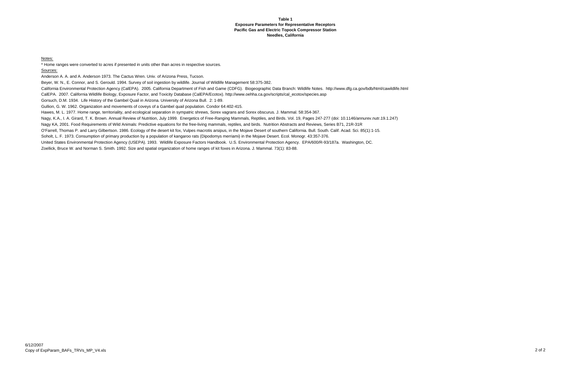#### **Table 1Exposure Parameters for Representative Receptors Pacific Gas and Electric Topock Compressor Station Needles, California**

Notes:

\* Home ranges were converted to acres if presented in units other than acres in respective sources.

Sources:

Anderson A. A. and A. Anderson 1973. The Cactus Wren. Univ. of Arizona Press, Tucson.

Beyer, W. N., E. Connor, and S. Gerould. 1994. Survey of soil ingestion by wildlife. Journal of Wildlife Management 58:375-382.

California Environmental Protection Agency (CalEPA). 2005. California Department of Fish and Game (CDFG). Biogeographic Data Branch: Wildlife Notes. http://www.dfg.ca.gov/bdb/html/cawildlife.html CalEPA. 2007. California Wildlife Biology, Exposure Factor, and Toxicity Database (CalEPA/Ecotox). http://www.oehha.ca.gov/scripts/cal\_ecotox/species.asp

Gorsuch, D.M. 1934. Life History of the Gambel Quail in Arizona. University of Arizona Bull. 2: 1-89.

Gullion, G. W. 1962. Organization and movements of coveys of a Gambel quail population. Condor 64:402-415.

Hawes, M. L. 1977. Home range, territoriality, and ecological separation in sympatric shrews, Sorex vagrans and Sorex obscurus. J. Mammal. 58:354-367.

Nagy, K.A., I. A. Girard, T. K. Brown. Annual Review of Nutrition, July 1999. Energetics of Free-Ranging Mammals, Reptiles, and Birds. Vol. 19, Pages 247-277 (doi: 10.1146/annurev.nutr.19.1.247)

Nagy KA, 2001. Food Requirements of Wild Animals: Predictive equations for the free-living mammals, reptiles, and birds. Nutrition Abstracts and Reviews, Series B71, 21R-31R

O'Farrell, Thomas P. and Larry Gilbertson. 1986. Ecology of the desert kit fox, Vulpes macrotis arsipus, in the Mojave Desert of southern California. Bull. South. Calif. Acad. Sci. 85(1):1-15.

Soholt, L. F. 1973. Consumption of primary production by a population of kangaroo rats (Dipodomys merriami) in the Mojave Desert. Ecol. Monogr. 43:357-376.

United States Environmental Protection Agency (USEPA). 1993. Wildlife Exposure Factors Handbook. U.S. Environmental Protection Agency. EPA/600/R-93/187a. Washington, DC.

Zoellick, Bruce W. and Norman S. Smith. 1992. Size and spatial organization of home ranges of kit foxes in Arizona. J. Mammal. 73(1): 83-88.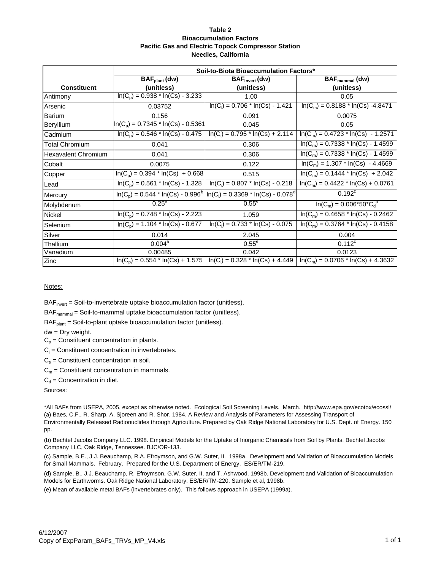#### **Table 2 Bioaccumulation Factors Pacific Gas and Electric Topock Compressor Station Needles, California**

|                            | Soil-to-Biota Bioaccumulation Factors* |                                                                        |                                                                                                                |  |  |  |  |
|----------------------------|----------------------------------------|------------------------------------------------------------------------|----------------------------------------------------------------------------------------------------------------|--|--|--|--|
| <b>Constituent</b>         | $BAFplant$ (dw)<br>(unitless)          | $BAFinvert$ (dw)<br>(unitless)                                         | $BAF_{\text{mammal}}(dw)$<br>(unitless)                                                                        |  |  |  |  |
| Antimony                   | $In(C_p) = 0.938 * In(Cs) - 3.233$     | 1.00                                                                   | 0.05                                                                                                           |  |  |  |  |
| Arsenic                    | 0.03752                                | $ln(C_i) = 0.706 * ln(Cs) - 1.421$                                     | $ln(C_m) = 0.8188 * ln(Cs) - 4.8471$                                                                           |  |  |  |  |
| <b>Barium</b>              | 0.156                                  | 0.091                                                                  | 0.0075                                                                                                         |  |  |  |  |
| Beryllium                  | $In(C_p) = 0.7345 * In(Cs) - 0.5361$   | 0.045                                                                  | 0.05                                                                                                           |  |  |  |  |
| Cadmium                    | $ln(C_p) = 0.546 * ln(Cs) - 0.475$     | $ln(C_i) = 0.795 * ln(Cs) + 2.114$                                     | $ln(C_m) = 0.4723 * ln(Cs) - 1.2571$                                                                           |  |  |  |  |
| <b>Total Chromium</b>      | 0.041                                  | 0.306                                                                  | $ln(C_m) = 0.7338 * ln(Cs) - 1.4599$                                                                           |  |  |  |  |
| <b>Hexavalent Chromium</b> | 0.041                                  | 0.306                                                                  | $ln(C_m) = 0.7338 * ln(Cs) - 1.4599$                                                                           |  |  |  |  |
| Cobalt                     | 0.0075                                 | 0.122                                                                  | $ln(C_m) = 1.307 * ln(Cs) - 4.4669$                                                                            |  |  |  |  |
| Copper                     | $ln(C_p) = 0.394 * ln(Cs) + 0.668$     | 0.515                                                                  | $ln(C_m) = 0.1444 * ln(Cs) + 2.042$                                                                            |  |  |  |  |
| Lead                       | $ln(C_p) = 0.561 * ln(Cs) - 1.328$     | $ln(C_i) = 0.807 * ln(Cs) - 0.218$                                     | $ln(C_m) = 0.4422 * ln(Cs) + 0.0761$                                                                           |  |  |  |  |
| Mercury                    |                                        | $ln(C_p) = 0.544 * ln(Cs) - 0.996b ln(C_i) = 0.3369 * ln(Cs) - 0.078d$ | $0.192^{\circ}$                                                                                                |  |  |  |  |
| Molybdenum                 | $0.25^\circ$                           | $0.55^\circ$                                                           | $ln(C_m) = 0.006*50*C_d^a$                                                                                     |  |  |  |  |
| Nickel                     | $ln(C_p) = 0.748 * ln(Cs) - 2.223$     | 1.059                                                                  | $ln(C_m) = 0.4658 * ln(Cs) - 0.2462$                                                                           |  |  |  |  |
| Selenium                   | $ln(C_p) = 1.104 * ln(Cs) - 0.677$     | $ln(C_i) = 0.733 * ln(Cs) - 0.075$                                     | $ln(C_m) = 0.3764 * ln(Cs) - 0.4158$                                                                           |  |  |  |  |
| Silver                     | 0.014                                  | 2.045                                                                  | 0.004                                                                                                          |  |  |  |  |
| Thallium                   | $0.004^a$                              | $0.55^{\circ}$                                                         | $0.112^c$                                                                                                      |  |  |  |  |
| Vanadium                   | 0.00485                                | 0.042                                                                  | 0.0123                                                                                                         |  |  |  |  |
| Zinc                       |                                        |                                                                        | $ln(C_p) = 0.554 * ln(Cs) + 1.575$   $ln(C_i) = 0.328 * ln(Cs) + 4.449$   $ln(C_m) = 0.0706 * ln(Cs) + 4.3632$ |  |  |  |  |

#### Notes:

BAF<sub>invert</sub> = Soil-to-invertebrate uptake bioaccumulation factor (unitless).

 $BAF_{\text{mammal}} = Soil-to-mammal uptake bioaccumulation factor (unitless).$ 

 $BAF<sub>plant</sub> =$  Soil-to-plant uptake bioaccumulation factor (unitless).

dw = Dry weight.

 $C_p$  = Constituent concentration in plants.

 $C_i$  = Constituent concentration in invertebrates.

 $C_s$  = Constituent concentration in soil.

 $C_m$  = Constituent concentration in mammals.

 $C_d$  = Concentration in diet.

Sources:

(a) Baes, C.F., R. Sharp, A. Sjoreen and R. Shor. 1984. A Review and Analysis of Parameters for Assessing Transport of Environmentally Released Radionuclides through Agriculture. Prepared by Oak Ridge National Laboratory for U.S. Dept. of Energy. 150 pp. \*All BAFs from USEPA, 2005, except as otherwise noted. Ecological Soil Screening Levels. March. http://www.epa.gov/ecotox/ecossl/

(b) Bechtel Jacobs Company LLC. 1998. Empirical Models for the Uptake of Inorganic Chemicals from Soil by Plants. Bechtel Jacobs Company LLC, Oak Ridge, Tennessee. BJC/OR-133.

(c) Sample, B.E., J.J. Beauchamp, R.A. Efroymson, and G.W. Suter, II. 1998a. Development and Validation of Bioaccumulation Models for Small Mammals. February. Prepared for the U.S. Department of Energy. ES/ER/TM-219.

(d) Sample, B., J.J. Beauchamp, R. Efroymson, G.W. Suter, II, and T. Ashwood. 1998b. Development and Validation of Bioaccumulation Models for Earthworms. Oak Ridge National Laboratory. ES/ER/TM-220. Sample et al, 1998b.

(e) Mean of available metal BAFs (invertebrates only). This follows approach in USEPA (1999a).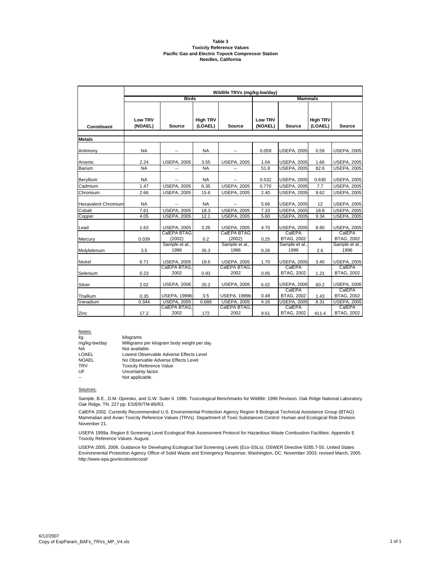#### **Table 3 Toxicity Reference Values Pacific Gas and Electric Topock Compressor Station Needles, California**

|                            | Wildlife TRVs (mg/kg-bw/day) |                        |                            |                          |                    |                             |                            |                             |  |  |
|----------------------------|------------------------------|------------------------|----------------------------|--------------------------|--------------------|-----------------------------|----------------------------|-----------------------------|--|--|
|                            | <b>Birds</b>                 |                        |                            |                          | <b>Mammals</b>     |                             |                            |                             |  |  |
|                            |                              |                        |                            |                          |                    |                             |                            |                             |  |  |
| <b>Constituent</b>         | <b>Low TRV</b><br>(NOAEL)    | <b>Source</b>          | <b>High TRV</b><br>(LOAEL) | Source                   | Low TRV<br>(NOAEL) | Source                      | <b>High TRV</b><br>(LOAEL) | <b>Source</b>               |  |  |
| <b>Metals</b>              |                              |                        |                            |                          |                    |                             |                            |                             |  |  |
| Antimony                   | <b>NA</b>                    |                        | <b>NA</b>                  |                          | 0.059              | <b>USEPA, 2005</b>          | 0.59                       | <b>USEPA, 2005</b>          |  |  |
| Arsenic                    | 2.24                         | <b>USEPA, 2005</b>     | 3.55                       | <b>USEPA, 2005</b>       | 1.04               | <b>USEPA, 2005</b>          | 1.66                       | <b>USEPA, 2005</b>          |  |  |
| Barium                     | <b>NA</b>                    |                        | <b>NA</b>                  |                          | 51.8               | <b>USEPA, 2005</b>          | 82.6                       | <b>USEPA, 2005</b>          |  |  |
| Beryllium                  | <b>NA</b>                    |                        | <b>NA</b>                  | $\overline{\phantom{a}}$ | 0.532              | <b>USEPA, 2005</b>          | 0.630                      | <b>USEPA, 2005</b>          |  |  |
| Cadmium                    | 1.47                         | <b>USEPA, 2005</b>     | 6.35                       | <b>USEPA, 2005</b>       | 0.770              | <b>USEPA, 2005</b>          | 7.7                        | <b>USEPA, 2005</b>          |  |  |
| Chromium                   | 2.66                         | <b>USEPA, 2005</b>     | 15.6                       | <b>USEPA, 2005</b>       | 2.40               | <b>USEPA, 2005</b>          | 9.62                       | <b>USEPA, 2005</b>          |  |  |
| <b>Hexavalent Chromium</b> | <b>NA</b>                    |                        | <b>NA</b>                  | $\overline{\phantom{a}}$ | 5.66               | <b>USEPA, 2005</b>          | 12                         | <b>USEPA, 2005</b>          |  |  |
| Cobalt                     | 7.61                         | <b>USEPA, 2005</b>     | 18.3                       | <b>USEPA, 2005</b>       | 7.33               | <b>USEPA, 2005</b>          | 18.8                       | <b>USEPA, 2005</b>          |  |  |
| Copper                     | 4.05                         | <b>USEPA, 2005</b>     | 12.1                       | <b>USEPA, 2005</b>       | 5.60               | <b>USEPA, 2005</b>          | 9.34                       | <b>USEPA, 2005</b>          |  |  |
| Lead                       | 1.63                         | <b>USEPA, 2005</b>     | 3.26                       | <b>USEPA, 2005</b>       | 4.70               | <b>USEPA, 2005</b>          | 8.90                       | <b>USEPA, 2005</b>          |  |  |
| Mercury                    | 0.039                        | CalEPA BTAG<br>(2002)  | 0.2                        | CalEPA BTAG<br>(2002)    | 0.25               | CalEPA<br><b>BTAG, 2002</b> | 4                          | CalEPA<br><b>BTAG, 2002</b> |  |  |
| Molybdenum                 | 3.5                          | Sample et al.,<br>1996 | 35.3                       | Sample et al.,<br>1996   | 0.26               | Sample et al.<br>1996       | 2.6                        | Sample et al.,<br>1996      |  |  |
| <b>Nickel</b>              | 6.71                         | <b>USEPA, 2005</b>     | 18.6                       | <b>USEPA, 2005</b>       | 1.70               | <b>USEPA, 2005</b>          | 3.40                       | <b>USEPA, 2005</b>          |  |  |
| Selenium                   | 0.23                         | CalEPA BTAG<br>2002    | 0.93                       | CalEPA BTAG.<br>2002     | 0.05               | CalEPA<br><b>BTAG, 2002</b> | 1.21                       | CalEPA<br><b>BTAG, 2002</b> |  |  |
| Silver                     | 2.02                         | <b>USEPA, 2006</b>     | 20.2                       | <b>USEPA, 2006</b>       | 6.02               | <b>USEPA, 2006</b>          | 60.2                       | <b>USEPA, 2006</b>          |  |  |
| Thallium                   | 0.35                         | <b>USEPA, 1999b</b>    | 3.5                        | <b>USEPA, 1999b</b>      | 0.48               | CalEPA<br><b>BTAG, 2002</b> | 1.43                       | CalEPA<br><b>BTAG, 2002</b> |  |  |
| Vanadium                   | 0.344                        | <b>USEPA, 2005</b>     | 0.688                      | <b>USEPA, 2005</b>       | 4.16               | <b>USEPA, 2005</b>          | 8.31                       | <b>USEPA, 2005</b>          |  |  |
| Zinc                       | 17.2                         | CalEPA BTAG.<br>2002   | 172                        | CalEPA BTAG,<br>2002     | 9.61               | CalEPA<br><b>BTAG, 2002</b> | 411.4                      | CalEPA<br>BTAG, 2002        |  |  |

| Notes:       |                                             |
|--------------|---------------------------------------------|
| kq           | kilograms                                   |
| mg/kg-bw/day | Milligrams per kilogram body weight per day |
| NΑ           | Not available.                              |
| LOAEL        | Lowest Observable Adverse Effects Level     |
| <b>NOAEL</b> | No Observable Adverse Effects Level         |
| <b>TRV</b>   | <b>Toxicity Reference Value</b>             |
| UF           | Uncertainty factor.                         |
|              | Not applicable.                             |

#### Sources:

Sample, B.E., D.M. Opresko, and G.W. Suter II. 1996. Toxicological Benchmarks for Wildlife: 1996 Revision. Oak Ridge National Laboratory, Oak Ridge, TN. 227 pp. ES/ER/TM-86/R3.

CalEPA 2002. Currently Recommended U.S. Environmental Protection Agency Region 9 Biological Technical Assistance Group (BTAG) Mammalian and Avian Toxicity Reference Values (TRVs). Department of Toxic Substances Control: Human and Ecological Risk Division. November 21.

USEPA 1999a. Region 6 Screening Level Ecological Risk Assessment Protocol for Hazardous Waste Combustion Facilities: Appendix E Toxicity Reference Values. August.

USEPA 2005, 2006. Guidance for Developing Ecological Soil Screening Levels (Eco-SSLs). OSWER Directive 9285.7-55. United States Environmental Protection Agency Office of Solid Waste and Emergency Response. Washington, DC. November 2003, revised March, 2005. http://www.epa.gov/ecotox/ecossl/